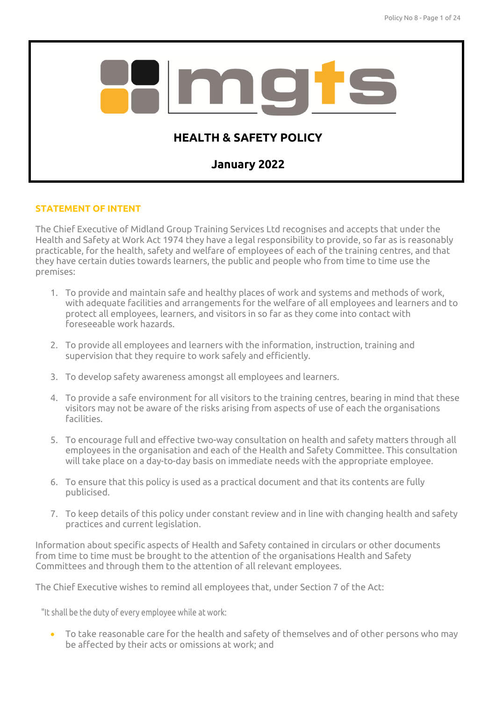

## **STATEMENT OF INTENT**

The Chief Executive of Midland Group Training Services Ltd recognises and accepts that under the Health and Safety at Work Act 1974 they have a legal responsibility to provide, so far as is reasonably practicable, for the health, safety and welfare of employees of each of the training centres, and that they have certain duties towards learners, the public and people who from time to time use the premises:

- 1. To provide and maintain safe and healthy places of work and systems and methods of work, with adequate facilities and arrangements for the welfare of all employees and learners and to protect all employees, learners, and visitors in so far as they come into contact with foreseeable work hazards.
- 2. To provide all employees and learners with the information, instruction, training and supervision that they require to work safely and efficiently.
- 3. To develop safety awareness amongst all employees and learners.
- 4. To provide a safe environment for all visitors to the training centres, bearing in mind that these visitors may not be aware of the risks arising from aspects of use of each the organisations facilities.
- 5. To encourage full and effective two-way consultation on health and safety matters through all employees in the organisation and each of the Health and Safety Committee. This consultation will take place on a day-to-day basis on immediate needs with the appropriate employee.
- 6. To ensure that this policy is used as a practical document and that its contents are fully publicised.
- 7. To keep details of this policy under constant review and in line with changing health and safety practices and current legislation.

Information about specific aspects of Health and Safety contained in circulars or other documents from time to time must be brought to the attention of the organisations Health and Safety Committees and through them to the attention of all relevant employees.

The Chief Executive wishes to remind all employees that, under Section 7 of the Act:

"It shall be the duty of every employee while at work:

• To take reasonable care for the health and safety of themselves and of other persons who may be affected by their acts or omissions at work; and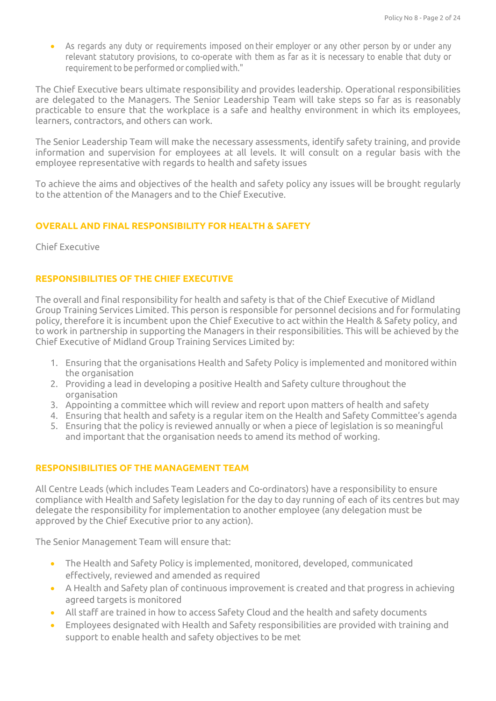As regards any duty or requirements imposed on their employer or any other person by or under any relevant statutory provisions, to co-operate with them as far as it is necessary to enable that duty or requirement to be performed or complied with."

The Chief Executive bears ultimate responsibility and provides leadership. Operational responsibilities are delegated to the Managers. The Senior Leadership Team will take steps so far as is reasonably practicable to ensure that the workplace is a safe and healthy environment in which its employees, learners, contractors, and others can work.

The Senior Leadership Team will make the necessary assessments, identify safety training, and provide information and supervision for employees at all levels. It will consult on a regular basis with the employee representative with regards to health and safety issues

To achieve the aims and objectives of the health and safety policy any issues will be brought regularly to the attention of the Managers and to the Chief Executive.

## **OVERALL AND FINAL RESPONSIBILITY FOR HEALTH & SAFETY**

Chief Executive

## **RESPONSIBILITIES OF THE CHIEF EXECUTIVE**

The overall and final responsibility for health and safety is that of the Chief Executive of Midland Group Training Services Limited. This person is responsible for personnel decisions and for formulating policy, therefore it is incumbent upon the Chief Executive to act within the Health & Safety policy, and to work in partnership in supporting the Managers in their responsibilities. This will be achieved by the Chief Executive of Midland Group Training Services Limited by:

- 1. Ensuring that the organisations Health and Safety Policy is implemented and monitored within the organisation
- 2. Providing a lead in developing a positive Health and Safety culture throughout the organisation
- 3. Appointing a committee which will review and report upon matters of health and safety
- 4. Ensuring that health and safety is a regular item on the Health and Safety Committee's agenda
- 5. Ensuring that the policy is reviewed annually or when a piece of legislation is so meaningful and important that the organisation needs to amend its method of working.

## **RESPONSIBILITIES OF THE MANAGEMENT TEAM**

All Centre Leads (which includes Team Leaders and Co-ordinators) have a responsibility to ensure compliance with Health and Safety legislation for the day to day running of each of its centres but may delegate the responsibility for implementation to another employee (any delegation must be approved by the Chief Executive prior to any action).

The Senior Management Team will ensure that:

- The Health and Safety Policy is implemented, monitored, developed, communicated effectively, reviewed and amended as required
- A Health and Safety plan of continuous improvement is created and that progress in achieving agreed targets is monitored
- All staff are trained in how to access Safety Cloud and the health and safety documents
- Employees designated with Health and Safety responsibilities are provided with training and support to enable health and safety objectives to be met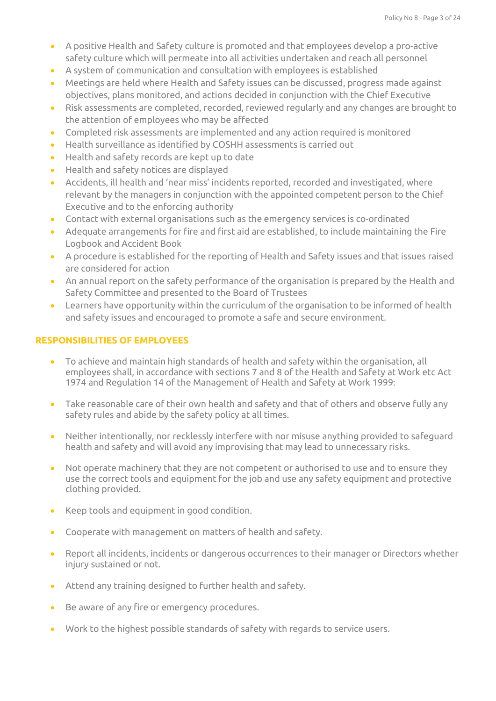- A positive Health and Safety culture is promoted and that employees develop a pro-active safety culture which will permeate into all activities undertaken and reach all personnel
- A system of communication and consultation with employees is established
- Meetings are held where Health and Safety issues can be discussed, progress made against objectives, plans monitored, and actions decided in conjunction with the Chief Executive
- Risk assessments are completed, recorded, reviewed regularly and any changes are brought to the attention of employees who may be affected
- Completed risk assessments are implemented and any action required is monitored
- Health surveillance as identified by COSHH assessments is carried out
- Health and safety records are kept up to date
- Health and safety notices are displayed
- Accidents, ill health and 'near miss' incidents reported, recorded and investigated, where relevant by the managers in conjunction with the appointed competent person to the Chief Executive and to the enforcing authority
- Contact with external organisations such as the emergency services is co-ordinated
- Adequate arrangements for fire and first aid are established, to include maintaining the Fire Logbook and Accident Book
- A procedure is established for the reporting of Health and Safety issues and that issues raised are considered for action
- An annual report on the safety performance of the organisation is prepared by the Health and Safety Committee and presented to the Board of Trustees
- Learners have opportunity within the curriculum of the organisation to be informed of health and safety issues and encouraged to promote a safe and secure environment.

## **RESPONSIBILITIES OF EMPLOYEES**

- To achieve and maintain high standards of health and safety within the organisation, all employees shall, in accordance with sections 7 and 8 of the Health and Safety at Work etc Act 1974 and Regulation 14 of the Management of Health and Safety at Work 1999:
- Take reasonable care of their own health and safety and that of others and observe fully any safety rules and abide by the safety policy at all times.
- Neither intentionally, nor recklessly interfere with nor misuse anything provided to safeguard health and safety and will avoid any improvising that may lead to unnecessary risks.
- Not operate machinery that they are not competent or authorised to use and to ensure they use the correct tools and equipment for the job and use any safety equipment and protective clothing provided.
- Keep tools and equipment in good condition.
- Cooperate with management on matters of health and safety.
- Report all incidents, incidents or dangerous occurrences to their manager or Directors whether injury sustained or not.
- Attend any training designed to further health and safety.
- Be aware of any fire or emergency procedures.
- Work to the highest possible standards of safety with regards to service users.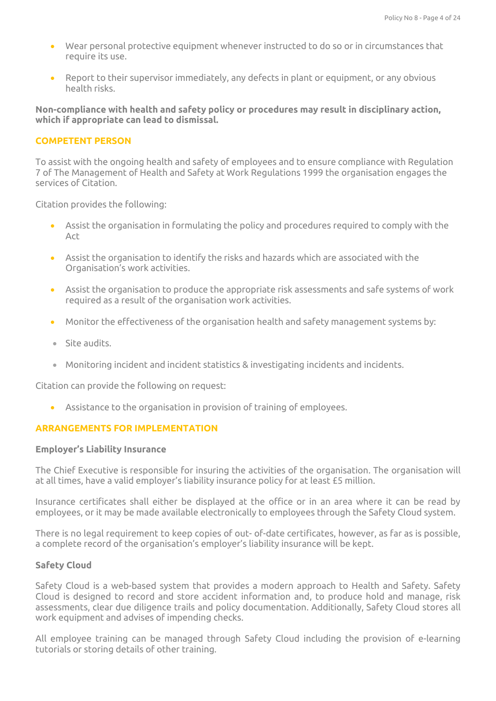- Wear personal protective equipment whenever instructed to do so or in circumstances that require its use.
- Report to their supervisor immediately, any defects in plant or equipment, or any obvious health risks.

**Non-compliance with health and safety policy or procedures may result in disciplinary action, which if appropriate can lead to dismissal.**

### **COMPETENT PERSON**

To assist with the ongoing health and safety of employees and to ensure compliance with Regulation 7 of The Management of Health and Safety at Work Regulations 1999 the organisation engages the services of Citation.

Citation provides the following:

- Assist the organisation in formulating the policy and procedures required to comply with the Act
- Assist the organisation to identify the risks and hazards which are associated with the Organisation's work activities.
- Assist the organisation to produce the appropriate risk assessments and safe systems of work required as a result of the organisation work activities.
- Monitor the effectiveness of the organisation health and safety management systems by:
- Site audits.
- Monitoring incident and incident statistics & investigating incidents and incidents.

Citation can provide the following on request:

• Assistance to the organisation in provision of training of employees.

## **ARRANGEMENTS FOR IMPLEMENTATION**

#### **Employer's Liability Insurance**

The Chief Executive is responsible for insuring the activities of the organisation. The organisation will at all times, have a valid employer's liability insurance policy for at least £5 million.

Insurance certificates shall either be displayed at the office or in an area where it can be read by employees, or it may be made available electronically to employees through the Safety Cloud system.

There is no legal requirement to keep copies of out- of-date certificates, however, as far as is possible, a complete record of the organisation's employer's liability insurance will be kept.

#### **Safety Cloud**

Safety Cloud is a web-based system that provides a modern approach to Health and Safety. Safety Cloud is designed to record and store accident information and, to produce hold and manage, risk assessments, clear due diligence trails and policy documentation. Additionally, Safety Cloud stores all work equipment and advises of impending checks.

All employee training can be managed through Safety Cloud including the provision of e-learning tutorials or storing details of other training.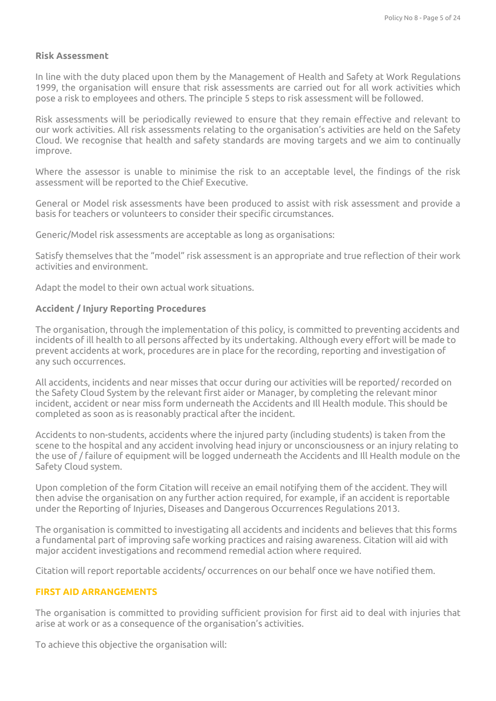### **Risk Assessment**

In line with the duty placed upon them by the Management of Health and Safety at Work Regulations 1999, the organisation will ensure that risk assessments are carried out for all work activities which pose a risk to employees and others. The principle 5 steps to risk assessment will be followed.

Risk assessments will be periodically reviewed to ensure that they remain effective and relevant to our work activities. All risk assessments relating to the organisation's activities are held on the Safety Cloud. We recognise that health and safety standards are moving targets and we aim to continually improve.

Where the assessor is unable to minimise the risk to an acceptable level, the findings of the risk assessment will be reported to the Chief Executive.

General or Model risk assessments have been produced to assist with risk assessment and provide a basis for teachers or volunteers to consider their specific circumstances.

Generic/Model risk assessments are acceptable as long as organisations:

Satisfy themselves that the "model" risk assessment is an appropriate and true reflection of their work activities and environment.

Adapt the model to their own actual work situations.

## **Accident / Injury Reporting Procedures**

The organisation, through the implementation of this policy, is committed to preventing accidents and incidents of ill health to all persons affected by its undertaking. Although every effort will be made to prevent accidents at work, procedures are in place for the recording, reporting and investigation of any such occurrences.

All accidents, incidents and near misses that occur during our activities will be reported/ recorded on the Safety Cloud System by the relevant first aider or Manager, by completing the relevant minor incident, accident or near miss form underneath the Accidents and Ill Health module. This should be completed as soon as is reasonably practical after the incident.

Accidents to non-students, accidents where the injured party (including students) is taken from the scene to the hospital and any accident involving head injury or unconsciousness or an injury relating to the use of / failure of equipment will be logged underneath the Accidents and Ill Health module on the Safety Cloud system.

Upon completion of the form Citation will receive an email notifying them of the accident. They will then advise the organisation on any further action required, for example, if an accident is reportable under the Reporting of Injuries, Diseases and Dangerous Occurrences Regulations 2013.

The organisation is committed to investigating all accidents and incidents and believes that this forms a fundamental part of improving safe working practices and raising awareness. Citation will aid with major accident investigations and recommend remedial action where required.

Citation will report reportable accidents/ occurrences on our behalf once we have notified them.

## **FIRST AID ARRANGEMENTS**

The organisation is committed to providing sufficient provision for first aid to deal with injuries that arise at work or as a consequence of the organisation's activities.

To achieve this objective the organisation will: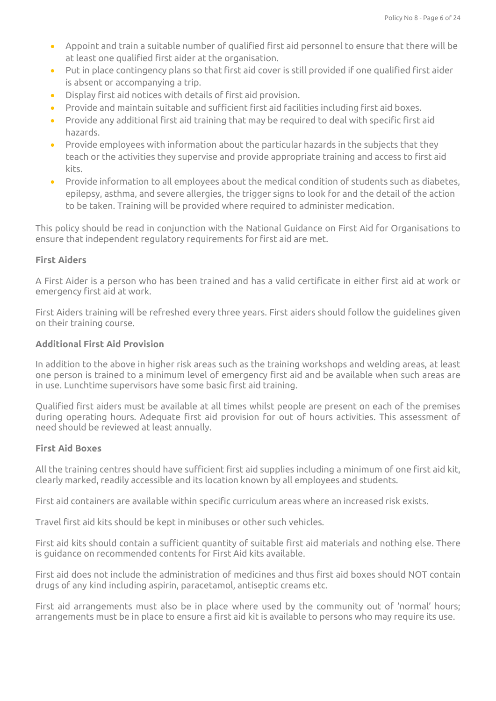- Appoint and train a suitable number of qualified first aid personnel to ensure that there will be at least one qualified first aider at the organisation.
- Put in place contingency plans so that first aid cover is still provided if one qualified first aider is absent or accompanying a trip.
- Display first aid notices with details of first aid provision.
- Provide and maintain suitable and sufficient first aid facilities including first aid boxes.
- Provide any additional first aid training that may be required to deal with specific first aid hazards.
- Provide employees with information about the particular hazards in the subjects that they teach or the activities they supervise and provide appropriate training and access to first aid kits.
- Provide information to all employees about the medical condition of students such as diabetes, epilepsy, asthma, and severe allergies, the trigger signs to look for and the detail of the action to be taken. Training will be provided where required to administer medication.

This policy should be read in conjunction with the National Guidance on First Aid for Organisations to ensure that independent regulatory requirements for first aid are met.

## **First Aiders**

A First Aider is a person who has been trained and has a valid certificate in either first aid at work or emergency first aid at work.

First Aiders training will be refreshed every three years. First aiders should follow the guidelines given on their training course.

### **Additional First Aid Provision**

In addition to the above in higher risk areas such as the training workshops and welding areas, at least one person is trained to a minimum level of emergency first aid and be available when such areas are in use. Lunchtime supervisors have some basic first aid training.

Qualified first aiders must be available at all times whilst people are present on each of the premises during operating hours. Adequate first aid provision for out of hours activities. This assessment of need should be reviewed at least annually.

#### **First Aid Boxes**

All the training centres should have sufficient first aid supplies including a minimum of one first aid kit, clearly marked, readily accessible and its location known by all employees and students.

First aid containers are available within specific curriculum areas where an increased risk exists.

Travel first aid kits should be kept in minibuses or other such vehicles.

First aid kits should contain a sufficient quantity of suitable first aid materials and nothing else. There is guidance on recommended contents for First Aid kits available.

First aid does not include the administration of medicines and thus first aid boxes should NOT contain drugs of any kind including aspirin, paracetamol, antiseptic creams etc.

First aid arrangements must also be in place where used by the community out of 'normal' hours; arrangements must be in place to ensure a first aid kit is available to persons who may require its use.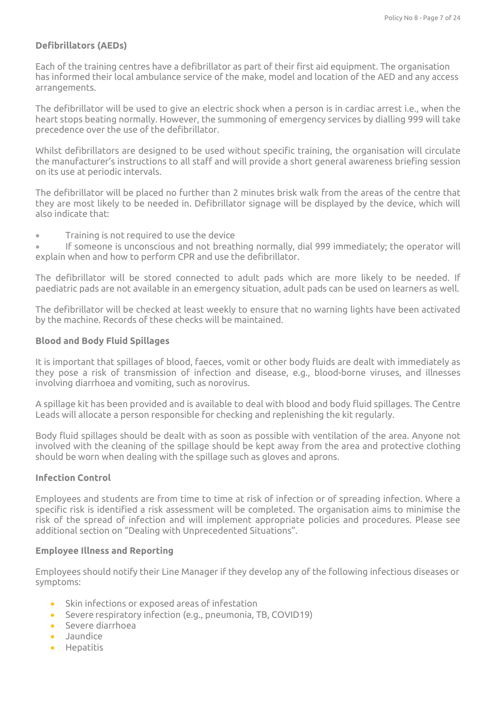# **Defibrillators (AEDs)**

Each of the training centres have a defibrillator as part of their first aid equipment. The organisation has informed their local ambulance service of the make, model and location of the AED and any access arrangements.

The defibrillator will be used to give an electric shock when a person is in cardiac arrest i.e., when the heart stops beating normally. However, the summoning of emergency services by dialling 999 will take precedence over the use of the defibrillator.

Whilst defibrillators are designed to be used without specific training, the organisation will circulate the manufacturer's instructions to all staff and will provide a short general awareness briefing session on its use at periodic intervals.

The defibrillator will be placed no further than 2 minutes brisk walk from the areas of the centre that they are most likely to be needed in. Defibrillator signage will be displayed by the device, which will also indicate that:

• Training is not required to use the device

If someone is unconscious and not breathing normally, dial 999 immediately; the operator will explain when and how to perform CPR and use the defibrillator.

The defibrillator will be stored connected to adult pads which are more likely to be needed. If paediatric pads are not available in an emergency situation, adult pads can be used on learners as well.

The defibrillator will be checked at least weekly to ensure that no warning lights have been activated by the machine. Records of these checks will be maintained.

### **Blood and Body Fluid Spillages**

It is important that spillages of blood, faeces, vomit or other body fluids are dealt with immediately as they pose a risk of transmission of infection and disease, e.g., blood-borne viruses, and illnesses involving diarrhoea and vomiting, such as norovirus.

A spillage kit has been provided and is available to deal with blood and body fluid spillages. The Centre Leads will allocate a person responsible for checking and replenishing the kit regularly.

Body fluid spillages should be dealt with as soon as possible with ventilation of the area. Anyone not involved with the cleaning of the spillage should be kept away from the area and protective clothing should be worn when dealing with the spillage such as gloves and aprons.

### **Infection Control**

Employees and students are from time to time at risk of infection or of spreading infection. Where a specific risk is identified a risk assessment will be completed. The organisation aims to minimise the risk of the spread of infection and will implement appropriate policies and procedures. Please see additional section on "Dealing with Unprecedented Situations".

## **Employee Illness and Reporting**

Employees should notify their Line Manager if they develop any of the following infectious diseases or symptoms:

- Skin infections or exposed areas of infestation
- Severe respiratory infection (e.g., pneumonia, TB, COVID19)
- Severe diarrhoea
- Jaundice
- Hepatitis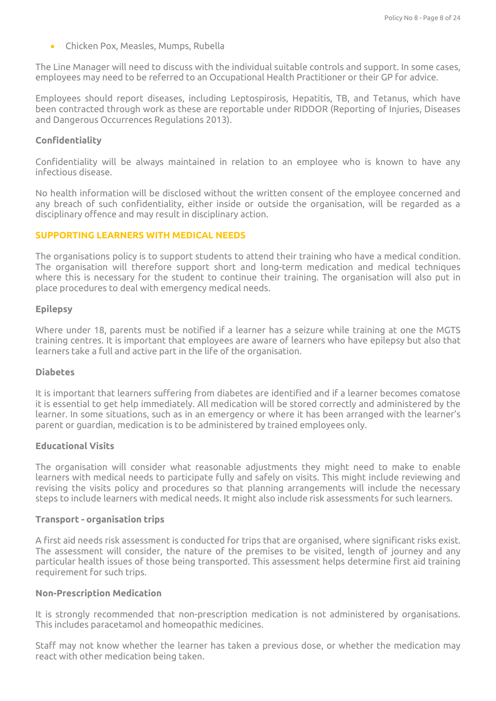• Chicken Pox, Measles, Mumps, Rubella

The Line Manager will need to discuss with the individual suitable controls and support. In some cases, employees may need to be referred to an Occupational Health Practitioner or their GP for advice.

Employees should report diseases, including Leptospirosis, Hepatitis, TB, and Tetanus, which have been contracted through work as these are reportable under RIDDOR (Reporting of Injuries, Diseases and Dangerous Occurrences Regulations 2013).

### **Confidentiality**

Confidentiality will be always maintained in relation to an employee who is known to have any infectious disease.

No health information will be disclosed without the written consent of the employee concerned and any breach of such confidentiality, either inside or outside the organisation, will be regarded as a disciplinary offence and may result in disciplinary action.

### **SUPPORTING LEARNERS WITH MEDICAL NEEDS**

The organisations policy is to support students to attend their training who have a medical condition. The organisation will therefore support short and long-term medication and medical techniques where this is necessary for the student to continue their training. The organisation will also put in place procedures to deal with emergency medical needs.

### **Epilepsy**

Where under 18, parents must be notified if a learner has a seizure while training at one the MGTS training centres. It is important that employees are aware of learners who have epilepsy but also that learners take a full and active part in the life of the organisation.

#### **Diabetes**

It is important that learners suffering from diabetes are identified and if a learner becomes comatose it is essential to get help immediately. All medication will be stored correctly and administered by the learner. In some situations, such as in an emergency or where it has been arranged with the learner's parent or guardian, medication is to be administered by trained employees only.

#### **Educational Visits**

The organisation will consider what reasonable adjustments they might need to make to enable learners with medical needs to participate fully and safely on visits. This might include reviewing and revising the visits policy and procedures so that planning arrangements will include the necessary steps to include learners with medical needs. It might also include risk assessments for such learners.

#### **Transport - organisation trips**

A first aid needs risk assessment is conducted for trips that are organised, where significant risks exist. The assessment will consider, the nature of the premises to be visited, length of journey and any particular health issues of those being transported. This assessment helps determine first aid training requirement for such trips.

#### **Non-Prescription Medication**

It is strongly recommended that non-prescription medication is not administered by organisations. This includes paracetamol and homeopathic medicines.

Staff may not know whether the learner has taken a previous dose, or whether the medication may react with other medication being taken.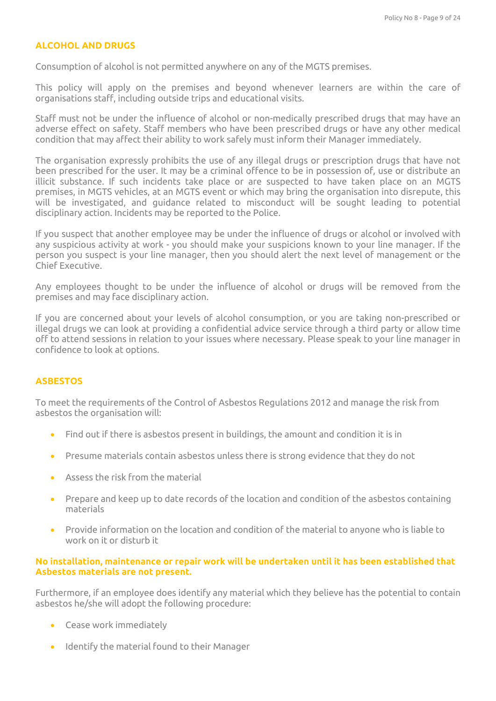### **ALCOHOL AND DRUGS**

Consumption of alcohol is not permitted anywhere on any of the MGTS premises.

This policy will apply on the premises and beyond whenever learners are within the care of organisations staff, including outside trips and educational visits.

Staff must not be under the influence of alcohol or non-medically prescribed drugs that may have an adverse effect on safety. Staff members who have been prescribed drugs or have any other medical condition that may affect their ability to work safely must inform their Manager immediately.

The organisation expressly prohibits the use of any illegal drugs or prescription drugs that have not been prescribed for the user. It may be a criminal offence to be in possession of, use or distribute an illicit substance. If such incidents take place or are suspected to have taken place on an MGTS premises, in MGTS vehicles, at an MGTS event or which may bring the organisation into disrepute, this will be investigated, and guidance related to misconduct will be sought leading to potential disciplinary action. Incidents may be reported to the Police.

If you suspect that another employee may be under the influence of drugs or alcohol or involved with any suspicious activity at work - you should make your suspicions known to your line manager. If the person you suspect is your line manager, then you should alert the next level of management or the Chief Executive.

Any employees thought to be under the influence of alcohol or drugs will be removed from the premises and may face disciplinary action.

If you are concerned about your levels of alcohol consumption, or you are taking non-prescribed or illegal drugs we can look at providing a confidential advice service through a third party or allow time off to attend sessions in relation to your issues where necessary. Please speak to your line manager in confidence to look at options.

#### **ASBESTOS**

To meet the requirements of the Control of Asbestos Regulations 2012 and manage the risk from asbestos the organisation will:

- Find out if there is asbestos present in buildings, the amount and condition it is in
- Presume materials contain asbestos unless there is strong evidence that they do not
- Assess the risk from the material
- Prepare and keep up to date records of the location and condition of the asbestos containing materials
- Provide information on the location and condition of the material to anyone who is liable to work on it or disturb it

### **No installation, maintenance or repair work will be undertaken until it has been established that Asbestos materials are not present.**

Furthermore, if an employee does identify any material which they believe has the potential to contain asbestos he/she will adopt the following procedure:

- Cease work immediately
- Identify the material found to their Manager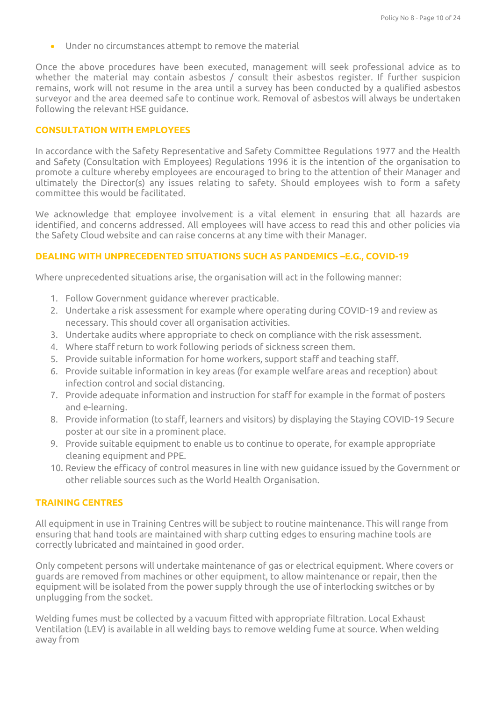Under no circumstances attempt to remove the material

Once the above procedures have been executed, management will seek professional advice as to whether the material may contain asbestos / consult their asbestos register. If further suspicion remains, work will not resume in the area until a survey has been conducted by a qualified asbestos surveyor and the area deemed safe to continue work. Removal of asbestos will always be undertaken following the relevant HSE guidance.

### **CONSULTATION WITH EMPLOYEES**

In accordance with the Safety Representative and Safety Committee Regulations 1977 and the Health and Safety (Consultation with Employees) Regulations 1996 it is the intention of the organisation to promote a culture whereby employees are encouraged to bring to the attention of their Manager and ultimately the Director(s) any issues relating to safety. Should employees wish to form a safety committee this would be facilitated.

We acknowledge that employee involvement is a vital element in ensuring that all hazards are identified, and concerns addressed. All employees will have access to read this and other policies via the Safety Cloud website and can raise concerns at any time with their Manager.

## **DEALING WITH UNPRECEDENTED SITUATIONS SUCH AS PANDEMICS –E.G., COVID-19**

Where unprecedented situations arise, the organisation will act in the following manner:

- 1. Follow Government guidance wherever practicable.
- 2. Undertake a risk assessment for example where operating during COVID-19 and review as necessary. This should cover all organisation activities.
- 3. Undertake audits where appropriate to check on compliance with the risk assessment.
- 4. Where staff return to work following periods of sickness screen them.
- 5. Provide suitable information for home workers, support staff and teaching staff.
- 6. Provide suitable information in key areas (for example welfare areas and reception) about infection control and social distancing.
- 7. Provide adequate information and instruction for staff for example in the format of posters and e-learning.
- 8. Provide information (to staff, learners and visitors) by displaying the Staying COVID-19 Secure poster at our site in a prominent place.
- 9. Provide suitable equipment to enable us to continue to operate, for example appropriate cleaning equipment and PPE.
- 10. Review the efficacy of control measures in line with new guidance issued by the Government or other reliable sources such as the World Health Organisation.

#### **TRAINING CENTRES**

All equipment in use in Training Centres will be subject to routine maintenance. This will range from ensuring that hand tools are maintained with sharp cutting edges to ensuring machine tools are correctly lubricated and maintained in good order.

Only competent persons will undertake maintenance of gas or electrical equipment. Where covers or guards are removed from machines or other equipment, to allow maintenance or repair, then the equipment will be isolated from the power supply through the use of interlocking switches or by unplugging from the socket.

Welding fumes must be collected by a vacuum fitted with appropriate filtration. Local Exhaust Ventilation (LEV) is available in all welding bays to remove welding fume at source. When welding away from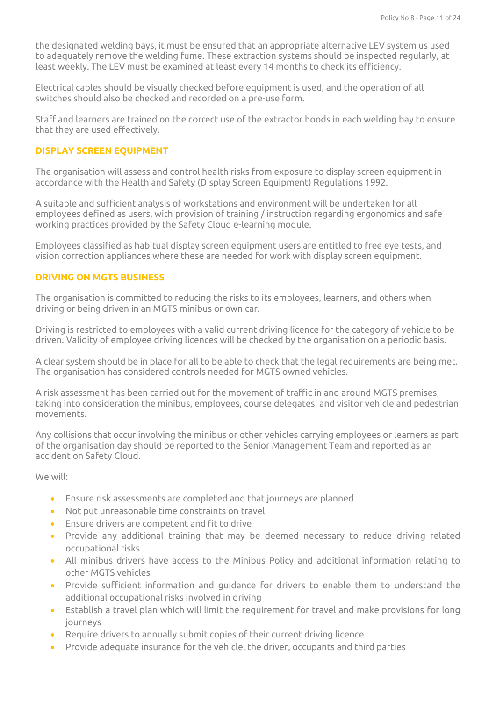the designated welding bays, it must be ensured that an appropriate alternative LEV system us used to adequately remove the welding fume. These extraction systems should be inspected regularly, at least weekly. The LEV must be examined at least every 14 months to check its efficiency.

Electrical cables should be visually checked before equipment is used, and the operation of all switches should also be checked and recorded on a pre-use form.

Staff and learners are trained on the correct use of the extractor hoods in each welding bay to ensure that they are used effectively.

## **DISPLAY SCREEN EQUIPMENT**

The organisation will assess and control health risks from exposure to display screen equipment in accordance with the Health and Safety (Display Screen Equipment) Regulations 1992.

A suitable and sufficient analysis of workstations and environment will be undertaken for all employees defined as users, with provision of training / instruction regarding ergonomics and safe working practices provided by the Safety Cloud e-learning module.

Employees classified as habitual display screen equipment users are entitled to free eye tests, and vision correction appliances where these are needed for work with display screen equipment.

## **DRIVING ON MGTS BUSINESS**

The organisation is committed to reducing the risks to its employees, learners, and others when driving or being driven in an MGTS minibus or own car.

Driving is restricted to employees with a valid current driving licence for the category of vehicle to be driven. Validity of employee driving licences will be checked by the organisation on a periodic basis.

A clear system should be in place for all to be able to check that the legal requirements are being met. The organisation has considered controls needed for MGTS owned vehicles.

A risk assessment has been carried out for the movement of traffic in and around MGTS premises, taking into consideration the minibus, employees, course delegates, and visitor vehicle and pedestrian movements.

Any collisions that occur involving the minibus or other vehicles carrying employees or learners as part of the organisation day should be reported to the Senior Management Team and reported as an accident on Safety Cloud.

We will:

- Ensure risk assessments are completed and that journeys are planned
- Not put unreasonable time constraints on travel
- Ensure drivers are competent and fit to drive
- Provide any additional training that may be deemed necessary to reduce driving related occupational risks
- All minibus drivers have access to the Minibus Policy and additional information relating to other MGTS vehicles
- Provide sufficient information and guidance for drivers to enable them to understand the additional occupational risks involved in driving
- Establish a travel plan which will limit the requirement for travel and make provisions for long journeys
- Require drivers to annually submit copies of their current driving licence
- Provide adequate insurance for the vehicle, the driver, occupants and third parties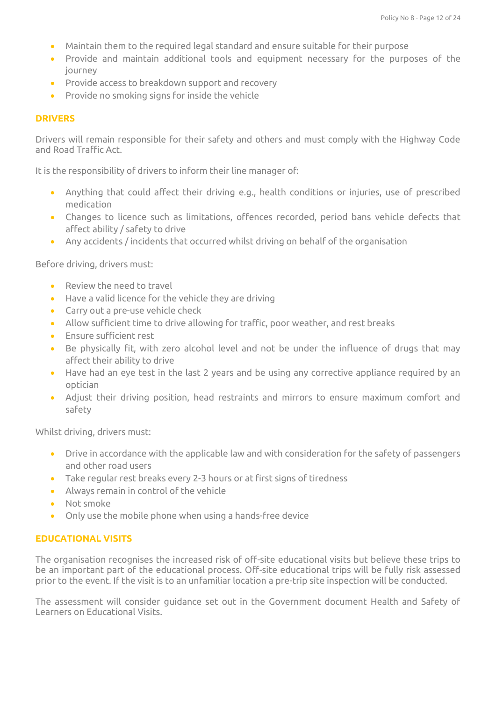- Maintain them to the required legal standard and ensure suitable for their purpose
- Provide and maintain additional tools and equipment necessary for the purposes of the journey
- Provide access to breakdown support and recovery
- Provide no smoking signs for inside the vehicle

### **DRIVERS**

Drivers will remain responsible for their safety and others and must comply with the Highway Code and Road Traffic Act.

It is the responsibility of drivers to inform their line manager of:

- Anything that could affect their driving e.g., health conditions or injuries, use of prescribed medication
- Changes to licence such as limitations, offences recorded, period bans vehicle defects that affect ability / safety to drive
- Any accidents / incidents that occurred whilst driving on behalf of the organisation

Before driving, drivers must:

- Review the need to travel
- Have a valid licence for the vehicle they are driving
- Carry out a pre-use vehicle check
- Allow sufficient time to drive allowing for traffic, poor weather, and rest breaks
- Ensure sufficient rest
- Be physically fit, with zero alcohol level and not be under the influence of drugs that may affect their ability to drive
- Have had an eye test in the last 2 years and be using any corrective appliance required by an optician
- Adjust their driving position, head restraints and mirrors to ensure maximum comfort and safety

Whilst driving, drivers must:

- Drive in accordance with the applicable law and with consideration for the safety of passengers and other road users
- Take regular rest breaks every 2-3 hours or at first signs of tiredness
- Always remain in control of the vehicle
- Not smoke
- Only use the mobile phone when using a hands-free device

#### **EDUCATIONAL VISITS**

The organisation recognises the increased risk of off-site educational visits but believe these trips to be an important part of the educational process. Off-site educational trips will be fully risk assessed prior to the event. If the visit is to an unfamiliar location a pre-trip site inspection will be conducted.

The assessment will consider guidance set out in the Government document Health and Safety of Learners on Educational Visits.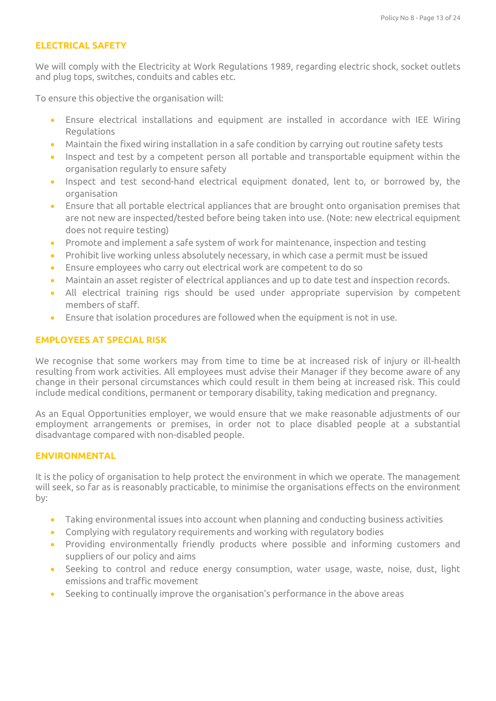### **ELECTRICAL SAFETY**

We will comply with the Electricity at Work Regulations 1989, regarding electric shock, socket outlets and plug tops, switches, conduits and cables etc.

To ensure this objective the organisation will:

- Ensure electrical installations and equipment are installed in accordance with IEE Wiring Regulations
- Maintain the fixed wiring installation in a safe condition by carrying out routine safety tests
- Inspect and test by a competent person all portable and transportable equipment within the organisation regularly to ensure safety
- Inspect and test second-hand electrical equipment donated, lent to, or borrowed by, the organisation
- Ensure that all portable electrical appliances that are brought onto organisation premises that are not new are inspected/tested before being taken into use. (Note: new electrical equipment does not require testing)
- Promote and implement a safe system of work for maintenance, inspection and testing
- Prohibit live working unless absolutely necessary, in which case a permit must be issued
- Ensure employees who carry out electrical work are competent to do so
- Maintain an asset register of electrical appliances and up to date test and inspection records.
- All electrical training rigs should be used under appropriate supervision by competent members of staff.
- Ensure that isolation procedures are followed when the equipment is not in use.

## **EMPLOYEES AT SPECIAL RISK**

We recognise that some workers may from time to time be at increased risk of injury or ill-health resulting from work activities. All employees must advise their Manager if they become aware of any change in their personal circumstances which could result in them being at increased risk. This could include medical conditions, permanent or temporary disability, taking medication and pregnancy.

As an Equal Opportunities employer, we would ensure that we make reasonable adjustments of our employment arrangements or premises, in order not to place disabled people at a substantial disadvantage compared with non-disabled people.

## **ENVIRONMENTAL**

It is the policy of organisation to help protect the environment in which we operate. The management will seek, so far as is reasonably practicable, to minimise the organisations effects on the environment by:

- Taking environmental issues into account when planning and conducting business activities
- Complying with regulatory requirements and working with regulatory bodies
- Providing environmentally friendly products where possible and informing customers and suppliers of our policy and aims
- Seeking to control and reduce energy consumption, water usage, waste, noise, dust, light emissions and traffic movement
- Seeking to continually improve the organisation's performance in the above areas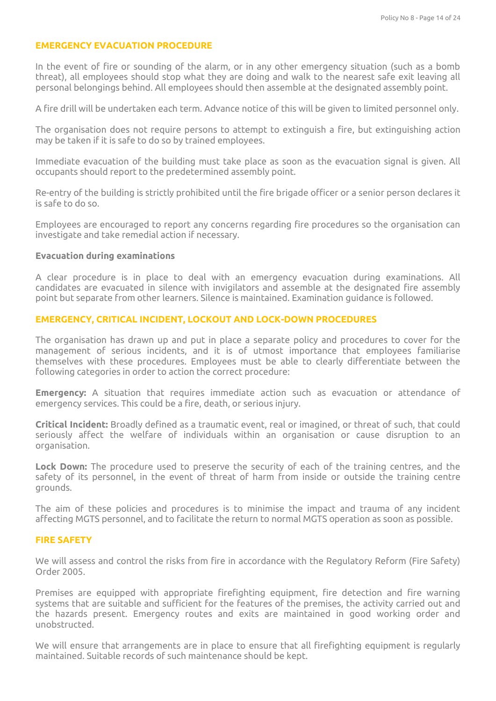#### **EMERGENCY EVACUATION PROCEDURE**

In the event of fire or sounding of the alarm, or in any other emergency situation (such as a bomb threat), all employees should stop what they are doing and walk to the nearest safe exit leaving all personal belongings behind. All employees should then assemble at the designated assembly point.

A fire drill will be undertaken each term. Advance notice of this will be given to limited personnel only.

The organisation does not require persons to attempt to extinguish a fire, but extinguishing action may be taken if it is safe to do so by trained employees.

Immediate evacuation of the building must take place as soon as the evacuation signal is given. All occupants should report to the predetermined assembly point.

Re-entry of the building is strictly prohibited until the fire brigade officer or a senior person declares it is safe to do so.

Employees are encouraged to report any concerns regarding fire procedures so the organisation can investigate and take remedial action if necessary.

#### **Evacuation during examinations**

A clear procedure is in place to deal with an emergency evacuation during examinations. All candidates are evacuated in silence with invigilators and assemble at the designated fire assembly point but separate from other learners. Silence is maintained. Examination guidance is followed.

#### **EMERGENCY, CRITICAL INCIDENT, LOCKOUT AND LOCK-DOWN PROCEDURES**

The organisation has drawn up and put in place a separate policy and procedures to cover for the management of serious incidents, and it is of utmost importance that employees familiarise themselves with these procedures. Employees must be able to clearly differentiate between the following categories in order to action the correct procedure:

**Emergency:** A situation that requires immediate action such as evacuation or attendance of emergency services. This could be a fire, death, or serious injury.

**Critical Incident:** Broadly defined as a traumatic event, real or imagined, or threat of such, that could seriously affect the welfare of individuals within an organisation or cause disruption to an organisation.

**Lock Down:** The procedure used to preserve the security of each of the training centres, and the safety of its personnel, in the event of threat of harm from inside or outside the training centre grounds.

The aim of these policies and procedures is to minimise the impact and trauma of any incident affecting MGTS personnel, and to facilitate the return to normal MGTS operation as soon as possible.

#### **FIRE SAFETY**

We will assess and control the risks from fire in accordance with the Regulatory Reform (Fire Safety) Order 2005.

Premises are equipped with appropriate firefighting equipment, fire detection and fire warning systems that are suitable and sufficient for the features of the premises, the activity carried out and the hazards present. Emergency routes and exits are maintained in good working order and unobstructed.

We will ensure that arrangements are in place to ensure that all firefighting equipment is regularly maintained. Suitable records of such maintenance should be kept.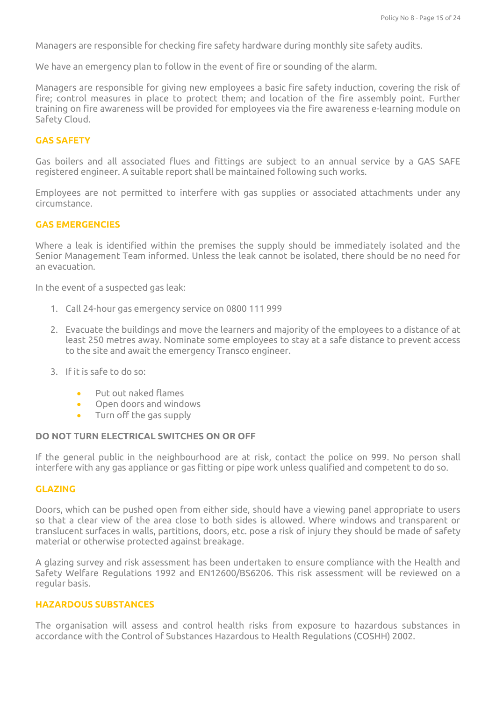Managers are responsible for checking fire safety hardware during monthly site safety audits.

We have an emergency plan to follow in the event of fire or sounding of the alarm.

Managers are responsible for giving new employees a basic fire safety induction, covering the risk of fire; control measures in place to protect them; and location of the fire assembly point. Further training on fire awareness will be provided for employees via the fire awareness e-learning module on Safety Cloud.

### **GAS SAFETY**

Gas boilers and all associated flues and fittings are subject to an annual service by a GAS SAFE registered engineer. A suitable report shall be maintained following such works.

Employees are not permitted to interfere with gas supplies or associated attachments under any circumstance.

### **GAS EMERGENCIES**

Where a leak is identified within the premises the supply should be immediately isolated and the Senior Management Team informed. Unless the leak cannot be isolated, there should be no need for an evacuation.

In the event of a suspected gas leak:

- 1. Call 24-hour gas emergency service on 0800 111 999
- 2. Evacuate the buildings and move the learners and majority of the employees to a distance of at least 250 metres away. Nominate some employees to stay at a safe distance to prevent access to the site and await the emergency Transco engineer.
- 3. If it is safe to do so:
	- Put out naked flames
	- Open doors and windows
	- Turn off the gas supply

#### **DO NOT TURN ELECTRICAL SWITCHES ON OR OFF**

If the general public in the neighbourhood are at risk, contact the police on 999. No person shall interfere with any gas appliance or gas fitting or pipe work unless qualified and competent to do so.

#### **GLAZING**

Doors, which can be pushed open from either side, should have a viewing panel appropriate to users so that a clear view of the area close to both sides is allowed. Where windows and transparent or translucent surfaces in walls, partitions, doors, etc. pose a risk of injury they should be made of safety material or otherwise protected against breakage.

A glazing survey and risk assessment has been undertaken to ensure compliance with the Health and Safety Welfare Regulations 1992 and EN12600/BS6206. This risk assessment will be reviewed on a regular basis.

#### **HAZARDOUS SUBSTANCES**

The organisation will assess and control health risks from exposure to hazardous substances in accordance with the Control of Substances Hazardous to Health Regulations (COSHH) 2002.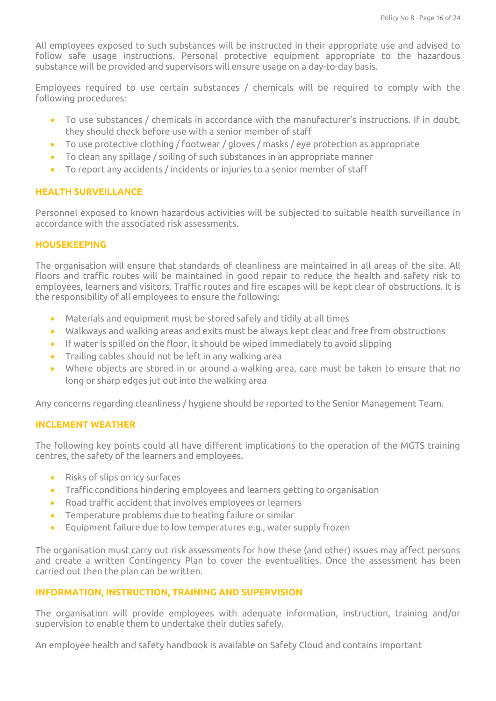All employees exposed to such substances will be instructed in their appropriate use and advised to follow safe usage instructions. Personal protective equipment appropriate to the hazardous substance will be provided and supervisors will ensure usage on a day-to-day basis.

Employees required to use certain substances / chemicals will be required to comply with the following procedures:

- To use substances / chemicals in accordance with the manufacturer's instructions. If in doubt, they should check before use with a senior member of staff
- To use protective clothing / footwear / gloves / masks / eye protection as appropriate
- To clean any spillage / soiling of such substances in an appropriate manner
- To report any accidents / incidents or injuries to a senior member of staff

## **HEALTH SURVEILLANCE**

Personnel exposed to known hazardous activities will be subjected to suitable health surveillance in accordance with the associated risk assessments.

## **HOUSEKEEPING**

The organisation will ensure that standards of cleanliness are maintained in all areas of the site. All floors and traffic routes will be maintained in good repair to reduce the health and safety risk to employees, learners and visitors. Traffic routes and fire escapes will be kept clear of obstructions. It is the responsibility of all employees to ensure the following:

- Materials and equipment must be stored safely and tidily at all times
- Walkways and walking areas and exits must be always kept clear and free from obstructions
- If water is spilled on the floor, it should be wiped immediately to avoid slipping
- Trailing cables should not be left in any walking area
- Where objects are stored in or around a walking area, care must be taken to ensure that no long or sharp edges jut out into the walking area

Any concerns regarding cleanliness / hygiene should be reported to the Senior Management Team.

## **INCLEMENT WEATHER**

The following key points could all have different implications to the operation of the MGTS training centres, the safety of the learners and employees.

- Risks of slips on icy surfaces
- Traffic conditions hindering employees and learners getting to organisation
- Road traffic accident that involves employees or learners
- Temperature problems due to heating failure or similar
- Equipment failure due to low temperatures e.g., water supply frozen

The organisation must carry out risk assessments for how these (and other) issues may affect persons and create a written Contingency Plan to cover the eventualities. Once the assessment has been carried out then the plan can be written.

## **INFORMATION, INSTRUCTION, TRAINING AND SUPERVISION**

The organisation will provide employees with adequate information, instruction, training and/or supervision to enable them to undertake their duties safely.

An employee health and safety handbook is available on Safety Cloud and contains important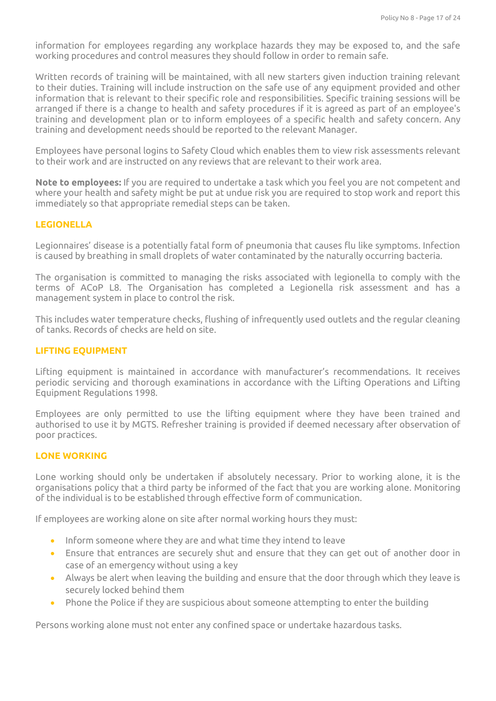information for employees regarding any workplace hazards they may be exposed to, and the safe working procedures and control measures they should follow in order to remain safe.

Written records of training will be maintained, with all new starters given induction training relevant to their duties. Training will include instruction on the safe use of any equipment provided and other information that is relevant to their specific role and responsibilities. Specific training sessions will be arranged if there is a change to health and safety procedures if it is agreed as part of an employee's training and development plan or to inform employees of a specific health and safety concern. Any training and development needs should be reported to the relevant Manager.

Employees have personal logins to Safety Cloud which enables them to view risk assessments relevant to their work and are instructed on any reviews that are relevant to their work area.

**Note to employees:** If you are required to undertake a task which you feel you are not competent and where your health and safety might be put at undue risk you are required to stop work and report this immediately so that appropriate remedial steps can be taken.

## **LEGIONELLA**

Legionnaires' disease is a potentially fatal form of pneumonia that causes flu like symptoms. Infection is caused by breathing in small droplets of water contaminated by the naturally occurring bacteria.

The organisation is committed to managing the risks associated with legionella to comply with the terms of ACoP L8. The Organisation has completed a Legionella risk assessment and has a management system in place to control the risk.

This includes water temperature checks, flushing of infrequently used outlets and the regular cleaning of tanks. Records of checks are held on site.

### **LIFTING EQUIPMENT**

Lifting equipment is maintained in accordance with manufacturer's recommendations. It receives periodic servicing and thorough examinations in accordance with the Lifting Operations and Lifting Equipment Regulations 1998.

Employees are only permitted to use the lifting equipment where they have been trained and authorised to use it by MGTS. Refresher training is provided if deemed necessary after observation of poor practices.

#### **LONE WORKING**

Lone working should only be undertaken if absolutely necessary. Prior to working alone, it is the organisations policy that a third party be informed of the fact that you are working alone. Monitoring of the individual is to be established through effective form of communication.

If employees are working alone on site after normal working hours they must:

- Inform someone where they are and what time they intend to leave
- Ensure that entrances are securely shut and ensure that they can get out of another door in case of an emergency without using a key
- Always be alert when leaving the building and ensure that the door through which they leave is securely locked behind them
- Phone the Police if they are suspicious about someone attempting to enter the building

Persons working alone must not enter any confined space or undertake hazardous tasks.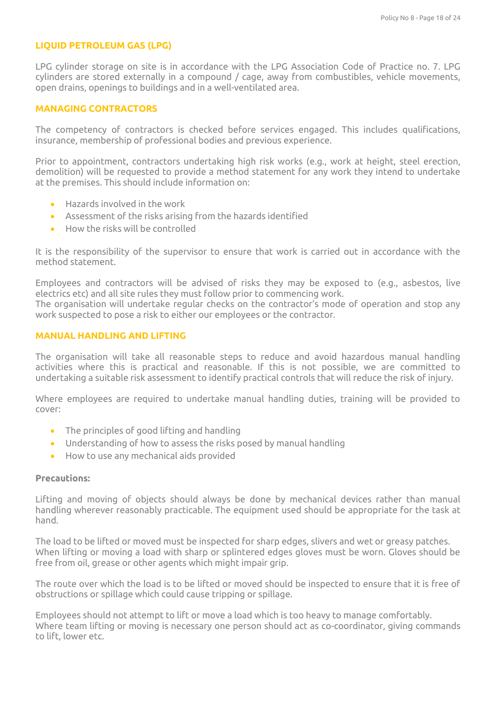### **LIQUID PETROLEUM GAS (LPG)**

LPG cylinder storage on site is in accordance with the LPG Association Code of Practice no. 7. LPG cylinders are stored externally in a compound / cage, away from combustibles, vehicle movements, open drains, openings to buildings and in a well-ventilated area.

### **MANAGING CONTRACTORS**

The competency of contractors is checked before services engaged. This includes qualifications, insurance, membership of professional bodies and previous experience.

Prior to appointment, contractors undertaking high risk works (e.g., work at height, steel erection, demolition) will be requested to provide a method statement for any work they intend to undertake at the premises. This should include information on:

- Hazards involved in the work
- Assessment of the risks arising from the hazards identified
- How the risks will be controlled

It is the responsibility of the supervisor to ensure that work is carried out in accordance with the method statement.

Employees and contractors will be advised of risks they may be exposed to (e.g., asbestos, live electrics etc) and all site rules they must follow prior to commencing work. The organisation will undertake regular checks on the contractor's mode of operation and stop any work suspected to pose a risk to either our employees or the contractor.

### **MANUAL HANDLING AND LIFTING**

The organisation will take all reasonable steps to reduce and avoid hazardous manual handling activities where this is practical and reasonable. If this is not possible, we are committed to undertaking a suitable risk assessment to identify practical controls that will reduce the risk of injury.

Where employees are required to undertake manual handling duties, training will be provided to cover:

- The principles of good lifting and handling
- Understanding of how to assess the risks posed by manual handling
- How to use any mechanical aids provided

### **Precautions:**

Lifting and moving of objects should always be done by mechanical devices rather than manual handling wherever reasonably practicable. The equipment used should be appropriate for the task at hand.

The load to be lifted or moved must be inspected for sharp edges, slivers and wet or greasy patches. When lifting or moving a load with sharp or splintered edges gloves must be worn. Gloves should be free from oil, grease or other agents which might impair grip.

The route over which the load is to be lifted or moved should be inspected to ensure that it is free of obstructions or spillage which could cause tripping or spillage.

Employees should not attempt to lift or move a load which is too heavy to manage comfortably. Where team lifting or moving is necessary one person should act as co-coordinator, giving commands to lift, lower etc.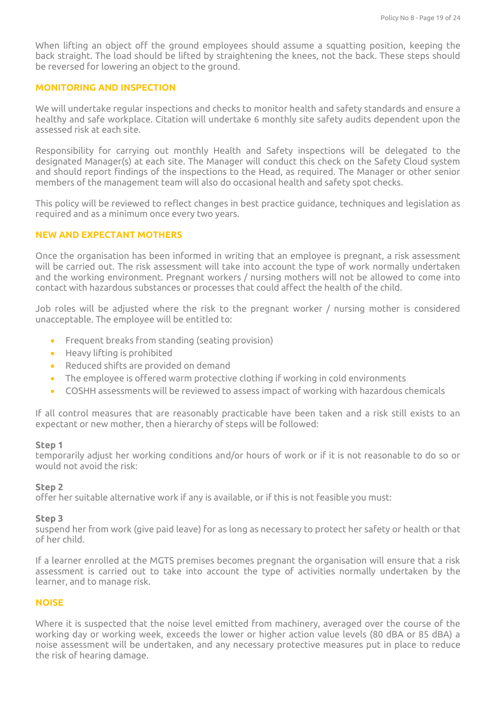When lifting an object off the ground employees should assume a squatting position, keeping the back straight. The load should be lifted by straightening the knees, not the back. These steps should be reversed for lowering an object to the ground.

## **MONITORING AND INSPECTION**

We will undertake regular inspections and checks to monitor health and safety standards and ensure a healthy and safe workplace. Citation will undertake 6 monthly site safety audits dependent upon the assessed risk at each site.

Responsibility for carrying out monthly Health and Safety inspections will be delegated to the designated Manager(s) at each site. The Manager will conduct this check on the Safety Cloud system and should report findings of the inspections to the Head, as required. The Manager or other senior members of the management team will also do occasional health and safety spot checks.

This policy will be reviewed to reflect changes in best practice guidance, techniques and legislation as required and as a minimum once every two years.

## **NEW AND EXPECTANT MOTHERS**

Once the organisation has been informed in writing that an employee is pregnant, a risk assessment will be carried out. The risk assessment will take into account the type of work normally undertaken and the working environment. Pregnant workers / nursing mothers will not be allowed to come into contact with hazardous substances or processes that could affect the health of the child.

Job roles will be adjusted where the risk to the pregnant worker / nursing mother is considered unacceptable. The employee will be entitled to:

- Frequent breaks from standing (seating provision)
- Heavy lifting is prohibited
- Reduced shifts are provided on demand
- The employee is offered warm protective clothing if working in cold environments
- COSHH assessments will be reviewed to assess impact of working with hazardous chemicals

If all control measures that are reasonably practicable have been taken and a risk still exists to an expectant or new mother, then a hierarchy of steps will be followed:

#### **Step 1**

temporarily adjust her working conditions and/or hours of work or if it is not reasonable to do so or would not avoid the risk:

#### **Step 2**

offer her suitable alternative work if any is available, or if this is not feasible you must:

#### **Step 3**

suspend her from work (give paid leave) for as long as necessary to protect her safety or health or that of her child.

If a learner enrolled at the MGTS premises becomes pregnant the organisation will ensure that a risk assessment is carried out to take into account the type of activities normally undertaken by the learner, and to manage risk.

#### **NOISE**

Where it is suspected that the noise level emitted from machinery, averaged over the course of the working day or working week, exceeds the lower or higher action value levels (80 dBA or 85 dBA) a noise assessment will be undertaken, and any necessary protective measures put in place to reduce the risk of hearing damage.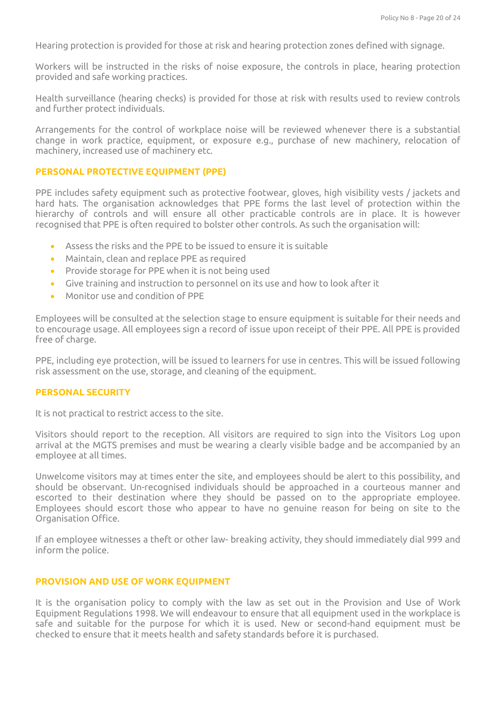Hearing protection is provided for those at risk and hearing protection zones defined with signage.

Workers will be instructed in the risks of noise exposure, the controls in place, hearing protection provided and safe working practices.

Health surveillance (hearing checks) is provided for those at risk with results used to review controls and further protect individuals.

Arrangements for the control of workplace noise will be reviewed whenever there is a substantial change in work practice, equipment, or exposure e.g., purchase of new machinery, relocation of machinery, increased use of machinery etc.

### **PERSONAL PROTECTIVE EQUIPMENT (PPE)**

PPE includes safety equipment such as protective footwear, gloves, high visibility vests / jackets and hard hats. The organisation acknowledges that PPE forms the last level of protection within the hierarchy of controls and will ensure all other practicable controls are in place. It is however recognised that PPE is often required to bolster other controls. As such the organisation will:

- Assess the risks and the PPE to be issued to ensure it is suitable
- Maintain, clean and replace PPE as required
- Provide storage for PPE when it is not being used
- Give training and instruction to personnel on its use and how to look after it
- Monitor use and condition of PPE

Employees will be consulted at the selection stage to ensure equipment is suitable for their needs and to encourage usage. All employees sign a record of issue upon receipt of their PPE. All PPE is provided free of charge.

PPE, including eye protection, will be issued to learners for use in centres. This will be issued following risk assessment on the use, storage, and cleaning of the equipment.

#### **PERSONAL SECURITY**

It is not practical to restrict access to the site.

Visitors should report to the reception. All visitors are required to sign into the Visitors Log upon arrival at the MGTS premises and must be wearing a clearly visible badge and be accompanied by an employee at all times.

Unwelcome visitors may at times enter the site, and employees should be alert to this possibility, and should be observant. Un-recognised individuals should be approached in a courteous manner and escorted to their destination where they should be passed on to the appropriate employee. Employees should escort those who appear to have no genuine reason for being on site to the Organisation Office.

If an employee witnesses a theft or other law- breaking activity, they should immediately dial 999 and inform the police.

#### **PROVISION AND USE OF WORK EQUIPMENT**

It is the organisation policy to comply with the law as set out in the Provision and Use of Work Equipment Regulations 1998. We will endeavour to ensure that all equipment used in the workplace is safe and suitable for the purpose for which it is used. New or second-hand equipment must be checked to ensure that it meets health and safety standards before it is purchased.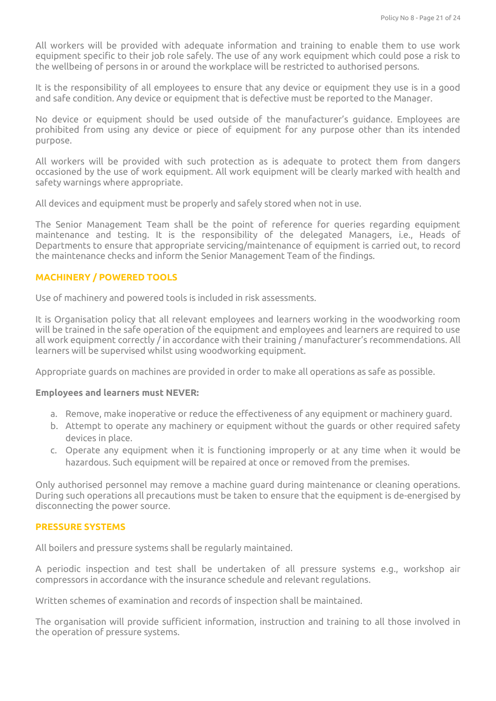All workers will be provided with adequate information and training to enable them to use work equipment specific to their job role safely. The use of any work equipment which could pose a risk to the wellbeing of persons in or around the workplace will be restricted to authorised persons.

It is the responsibility of all employees to ensure that any device or equipment they use is in a good and safe condition. Any device or equipment that is defective must be reported to the Manager.

No device or equipment should be used outside of the manufacturer's guidance. Employees are prohibited from using any device or piece of equipment for any purpose other than its intended purpose.

All workers will be provided with such protection as is adequate to protect them from dangers occasioned by the use of work equipment. All work equipment will be clearly marked with health and safety warnings where appropriate.

All devices and equipment must be properly and safely stored when not in use.

The Senior Management Team shall be the point of reference for queries regarding equipment maintenance and testing. It is the responsibility of the delegated Managers, i.e., Heads of Departments to ensure that appropriate servicing/maintenance of equipment is carried out, to record the maintenance checks and inform the Senior Management Team of the findings.

## **MACHINERY / POWERED TOOLS**

Use of machinery and powered tools is included in risk assessments.

It is Organisation policy that all relevant employees and learners working in the woodworking room will be trained in the safe operation of the equipment and employees and learners are required to use all work equipment correctly / in accordance with their training / manufacturer's recommendations. All learners will be supervised whilst using woodworking equipment.

Appropriate guards on machines are provided in order to make all operations as safe as possible.

#### **Employees and learners must NEVER:**

- a. Remove, make inoperative or reduce the effectiveness of any equipment or machinery guard.
- b. Attempt to operate any machinery or equipment without the guards or other required safety devices in place.
- c. Operate any equipment when it is functioning improperly or at any time when it would be hazardous. Such equipment will be repaired at once or removed from the premises.

Only authorised personnel may remove a machine guard during maintenance or cleaning operations. During such operations all precautions must be taken to ensure that the equipment is de-energised by disconnecting the power source.

## **PRESSURE SYSTEMS**

All boilers and pressure systems shall be regularly maintained.

A periodic inspection and test shall be undertaken of all pressure systems e.g., workshop air compressors in accordance with the insurance schedule and relevant regulations.

Written schemes of examination and records of inspection shall be maintained.

The organisation will provide sufficient information, instruction and training to all those involved in the operation of pressure systems.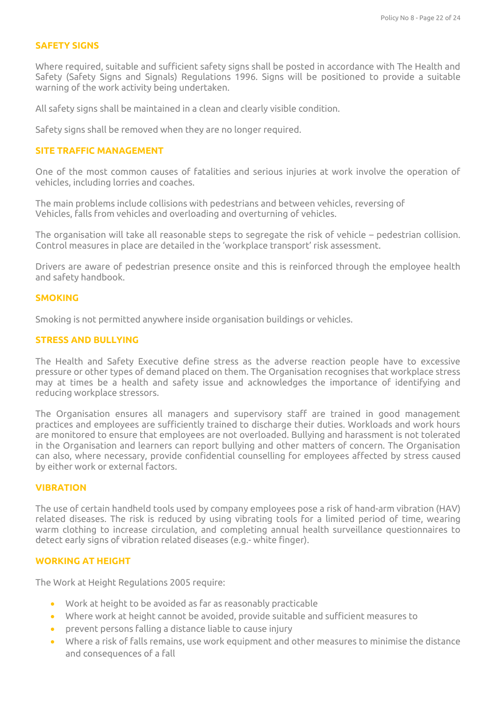### **SAFETY SIGNS**

Where required, suitable and sufficient safety signs shall be posted in accordance with The Health and Safety (Safety Signs and Signals) Regulations 1996. Signs will be positioned to provide a suitable warning of the work activity being undertaken.

All safety signs shall be maintained in a clean and clearly visible condition.

Safety signs shall be removed when they are no longer required.

### **SITE TRAFFIC MANAGEMENT**

One of the most common causes of fatalities and serious injuries at work involve the operation of vehicles, including lorries and coaches.

The main problems include collisions with pedestrians and between vehicles, reversing of Vehicles, falls from vehicles and overloading and overturning of vehicles.

The organisation will take all reasonable steps to segregate the risk of vehicle – pedestrian collision. Control measures in place are detailed in the 'workplace transport' risk assessment.

Drivers are aware of pedestrian presence onsite and this is reinforced through the employee health and safety handbook.

### **SMOKING**

Smoking is not permitted anywhere inside organisation buildings or vehicles.

#### **STRESS AND BULLYING**

The Health and Safety Executive define stress as the adverse reaction people have to excessive pressure or other types of demand placed on them. The Organisation recognises that workplace stress may at times be a health and safety issue and acknowledges the importance of identifying and reducing workplace stressors.

The Organisation ensures all managers and supervisory staff are trained in good management practices and employees are sufficiently trained to discharge their duties. Workloads and work hours are monitored to ensure that employees are not overloaded. Bullying and harassment is not tolerated in the Organisation and learners can report bullying and other matters of concern. The Organisation can also, where necessary, provide confidential counselling for employees affected by stress caused by either work or external factors.

### **VIBRATION**

The use of certain handheld tools used by company employees pose a risk of hand-arm vibration (HAV) related diseases. The risk is reduced by using vibrating tools for a limited period of time, wearing warm clothing to increase circulation, and completing annual health surveillance questionnaires to detect early signs of vibration related diseases (e.g.- white finger).

### **WORKING AT HEIGHT**

The Work at Height Regulations 2005 require:

- Work at height to be avoided as far as reasonably practicable
- Where work at height cannot be avoided, provide suitable and sufficient measures to
- prevent persons falling a distance liable to cause injury
- Where a risk of falls remains, use work equipment and other measures to minimise the distance and consequences of a fall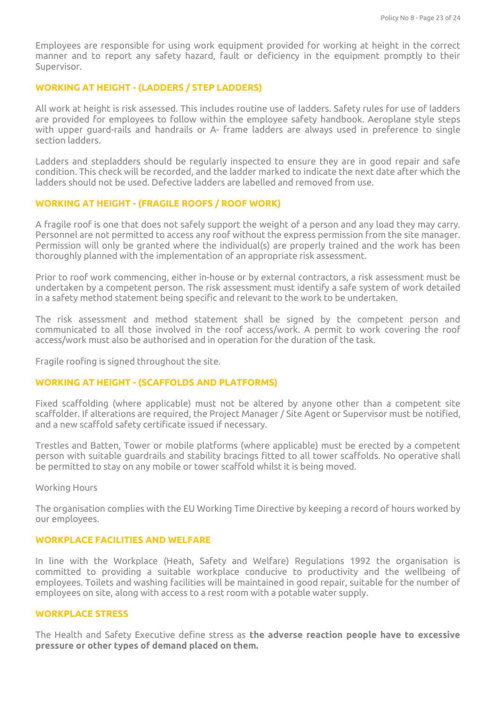Employees are responsible for using work equipment provided for working at height in the correct manner and to report any safety hazard, fault or deficiency in the equipment promptly to their Supervisor.

### **WORKING AT HEIGHT - (LADDERS / STEP LADDERS)**

All work at height is risk assessed. This includes routine use of ladders. Safety rules for use of ladders are provided for employees to follow within the employee safety handbook. Aeroplane style steps with upper guard-rails and handrails or A- frame ladders are always used in preference to single section ladders.

Ladders and stepladders should be regularly inspected to ensure they are in good repair and safe condition. This check will be recorded, and the ladder marked to indicate the next date after which the ladders should not be used. Defective ladders are labelled and removed from use.

## **WORKING AT HEIGHT - (FRAGILE ROOFS / ROOF WORK)**

A fragile roof is one that does not safely support the weight of a person and any load they may carry. Personnel are not permitted to access any roof without the express permission from the site manager. Permission will only be granted where the individual(s) are properly trained and the work has been thoroughly planned with the implementation of an appropriate risk assessment.

Prior to roof work commencing, either in-house or by external contractors, a risk assessment must be undertaken by a competent person. The risk assessment must identify a safe system of work detailed in a safety method statement being specific and relevant to the work to be undertaken.

The risk assessment and method statement shall be signed by the competent person and communicated to all those involved in the roof access/work. A permit to work covering the roof access/work must also be authorised and in operation for the duration of the task.

Fragile roofing is signed throughout the site.

#### **WORKING AT HEIGHT - (SCAFFOLDS AND PLATFORMS)**

Fixed scaffolding (where applicable) must not be altered by anyone other than a competent site scaffolder. If alterations are required, the Project Manager / Site Agent or Supervisor must be notified, and a new scaffold safety certificate issued if necessary.

Trestles and Batten, Tower or mobile platforms (where applicable) must be erected by a competent person with suitable guardrails and stability bracings fitted to all tower scaffolds. No operative shall be permitted to stay on any mobile or tower scaffold whilst it is being moved.

Working Hours

The organisation complies with the EU Working Time Directive by keeping a record of hours worked by our employees.

#### **WORKPLACE FACILITIES AND WELFARE**

In line with the Workplace (Heath, Safety and Welfare) Regulations 1992 the organisation is committed to providing a suitable workplace conducive to productivity and the wellbeing of employees. Toilets and washing facilities will be maintained in good repair, suitable for the number of employees on site, along with access to a rest room with a potable water supply.

#### **WORKPLACE STRESS**

The Health and Safety Executive define stress as **the adverse reaction people have to excessive pressure or other types of demand placed on them.**